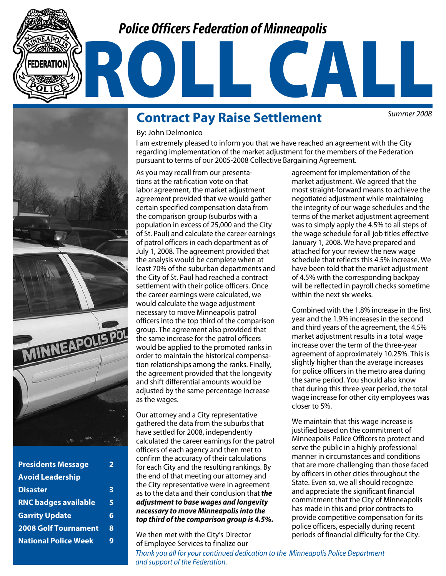## *Police Officers Federation of Minneapolis*



| <b>Presidents Message</b>   | フ |
|-----------------------------|---|
| <b>Avoid Leadership</b>     |   |
| <b>Disaster</b>             | 3 |
| <b>RNC badges available</b> | 5 |
| <b>Garrity Update</b>       | 6 |
| <b>2008 Golf Tournament</b> | 8 |
| <b>National Police Week</b> | g |
|                             |   |

## **Contract Pay Raise Settlement**

By: John Delmonico

*Summer 2008*

#### I am extremely pleased to inform you that we have reached an agreement with the City regarding implementation of the market adjustment for the members of the Federation pursuant to terms of our 2005-2008 Collective Bargaining Agreement.

ROLL CALL

As you may recall from our presentations at the ratification vote on that labor agreement, the market adjustment agreement provided that we would gather certain specified compensation data from the comparison group (suburbs with a population in excess of 25,000 and the City of St. Paul) and calculate the career earnings of patrol officers in each department as of July 1, 2008. The agreement provided that the analysis would be complete when at least 70% of the suburban departments and the City of St. Paul had reached a contract settlement with their police officers. Once the career earnings were calculated, we would calculate the wage adjustment necessary to move Minneapolis patrol officers into the top third of the comparison group. The agreement also provided that the same increase for the patrol officers would be applied to the promoted ranks in order to maintain the historical compensation relationships among the ranks. Finally, the agreement provided that the longevity and shift differential amounts would be adjusted by the same percentage increase as the wages.

Our attorney and a City representative gathered the data from the suburbs that have settled for 2008, independently calculated the career earnings for the patrol officers of each agency and then met to confirm the accuracy of their calculations for each City and the resulting rankings. By the end of that meeting our attorney and the City representative were in agreement as to the data and their conclusion that *the adjustment to base wages and longevity necessary to move Minneapolis into the top third of the comparison group is 4.5%.* 

We then met with the City's Director of Employee Services to finalize our

market adjustment. We agreed that the most straight-forward means to achieve the negotiated adjustment while maintaining the integrity of our wage schedules and the terms of the market adjustment agreement was to simply apply the 4.5% to all steps of the wage schedule for all job titles effective January 1, 2008. We have prepared and attached for your review the new wage schedule that reflects this 4.5% increase. We have been told that the market adjustment of 4.5% with the corresponding backpay will be reflected in payroll checks sometime within the next six weeks.

agreement for implementation of the

Combined with the 1.8% increase in the first year and the 1.9% increases in the second and third years of the agreement, the 4.5% market adjustment results in a total wage increase over the term of the three-year agreement of approximately 10.25%. This is slightly higher than the average increases for police officers in the metro area during the same period. You should also know that during this three-year period, the total wage increase for other city employees was closer to 5%.

We maintain that this wage increase is justified based on the commitment of Minneapolis Police Officers to protect and serve the public in a highly professional manner in circumstances and conditions that are more challenging than those faced by officers in other cities throughout the State. Even so, we all should recognize and appreciate the significant financial commitment that the City of Minneapolis has made in this and prior contracts to provide competitive compensation for its police officers, especially during recent periods of financial difficulty for the City.

*Thank you all for your continued dedication to the Minneapolis Police Department and support of the Federation.*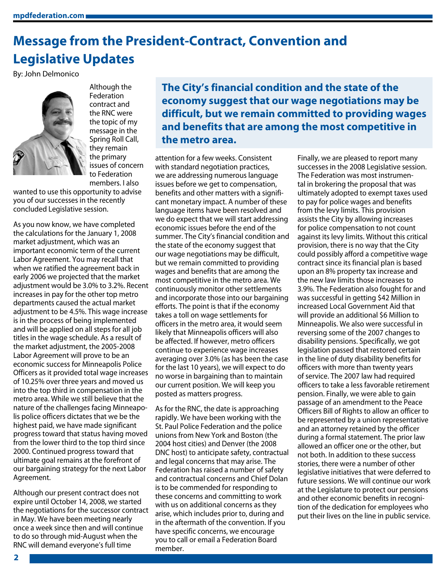# **Message from the President-Contract, Convention and Legislative Updates**

By: John Delmonico



Federation contract and the RNC were the topic of my message in the Spring Roll Call, they remain the primary issues of concern to Federation members. I also

Although the

wanted to use this opportunity to advise you of our successes in the recently concluded Legislative session.

As you now know, we have completed the calculations for the January 1, 2008 market adjustment, which was an important economic term of the current Labor Agreement. You may recall that when we ratified the agreement back in early 2006 we projected that the market adjustment would be 3.0% to 3.2%. Recent increases in pay for the other top metro departments caused the actual market adjustment to be 4.5%. This wage increase is in the process of being implemented and will be applied on all steps for all job titles in the wage schedule. As a result of the market adjustment, the 2005-2008 Labor Agreement will prove to be an economic success for Minneapolis Police Officers as it provided total wage increases of 10.25% over three years and moved us into the top third in compensation in the metro area. While we still believe that the nature of the challenges facing Minneapolis police officers dictates that we be the highest paid, we have made significant progress toward that status having moved from the lower third to the top third since 2000. Continued progress toward that ultimate goal remains at the forefront of our bargaining strategy for the next Labor Agreement.

Although our present contract does not expire until October 14, 2008, we started the negotiations for the successor contract in May. We have been meeting nearly once a week since then and will continue to do so through mid-August when the RNC will demand everyone's full time

**The City's financial condition and the state of the economy suggest that our wage negotiations may be difficult, but we remain committed to providing wages and benefits that are among the most competitive in the metro area.**

attention for a few weeks. Consistent with standard negotiation practices, we are addressing numerous language issues before we get to compensation, benefits and other matters with a significant monetary impact. A number of these language items have been resolved and we do expect that we will start addressing economic issues before the end of the summer. The City's financial condition and the state of the economy suggest that our wage negotiations may be difficult, but we remain committed to providing wages and benefits that are among the most competitive in the metro area. We continuously monitor other settlements and incorporate those into our bargaining efforts. The point is that if the economy takes a toll on wage settlements for officers in the metro area, it would seem likely that Minneapolis officers will also be affected. If however, metro officers continue to experience wage increases averaging over 3.0% (as has been the case for the last 10 years), we will expect to do no worse in bargaining than to maintain our current position. We will keep you posted as matters progress.

As for the RNC, the date is approaching rapidly. We have been working with the St. Paul Police Federation and the police unions from New York and Boston (the 2004 host cities) and Denver (the 2008 DNC host) to anticipate safety, contractual and legal concerns that may arise. The Federation has raised a number of safety and contractual concerns and Chief Dolan is to be commended for responding to these concerns and committing to work with us on additional concerns as they arise, which includes prior to, during and in the aftermath of the convention. If you have specific concerns, we encourage you to call or email a Federation Board member.

Finally, we are pleased to report many successes in the 2008 Legislative session. The Federation was most instrumental in brokering the proposal that was ultimately adopted to exempt taxes used to pay for police wages and benefits from the levy limits. This provision assists the City by allowing increases for police compensation to not count against its levy limits. Without this critical provision, there is no way that the City could possibly afford a competitive wage contract since its financial plan is based upon an 8% property tax increase and the new law limits those increases to 3.9%. The Federation also fought for and was successful in getting \$42 Million in increased Local Government Aid that will provide an additional \$6 Million to Minneapolis. We also were successful in reversing some of the 2007 changes to disability pensions. Specifically, we got legislation passed that restored certain in the line of duty disability benefits for officers with more than twenty years of service. The 2007 law had required officers to take a less favorable retirement pension. Finally, we were able to gain passage of an amendment to the Peace Officers Bill of Rights to allow an officer to be represented by a union representative and an attorney retained by the officer during a formal statement. The prior law allowed an officer one or the other, but not both. In addition to these success stories, there were a number of other legislative initiatives that were deferred to future sessions. We will continue our work at the Legislature to protect our pensions and other economic benefits in recognition of the dedication for employees who put their lives on the line in public service.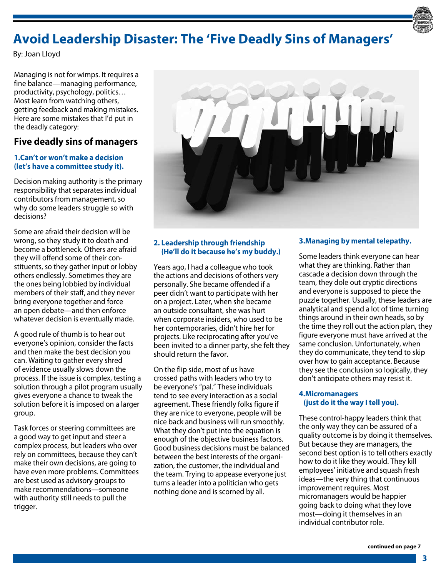

# **Avoid Leadership Disaster: The 'Five Deadly Sins of Managers'**

By: Joan Lloyd

Managing is not for wimps. It requires a fine balance—managing performance, productivity, psychology, politics… Most learn from watching others, getting feedback and making mistakes. Here are some mistakes that I'd put in the deadly category:

## **Five deadly sins of managers**

#### **1.Can't or won't make a decision (let's have a committee study it).**

Decision making authority is the primary responsibility that separates individual contributors from management, so why do some leaders struggle so with decisions?

Some are afraid their decision will be wrong, so they study it to death and become a bottleneck. Others are afraid they will offend some of their constituents, so they gather input or lobby others endlessly. Sometimes they are the ones being lobbied by individual members of their staff, and they never bring everyone together and force an open debate—and then enforce whatever decision is eventually made.

A good rule of thumb is to hear out everyone's opinion, consider the facts and then make the best decision you can. Waiting to gather every shred of evidence usually slows down the process. If the issue is complex, testing a solution through a pilot program usually gives everyone a chance to tweak the solution before it is imposed on a larger group.

Task forces or steering committees are a good way to get input and steer a complex process, but leaders who over rely on committees, because they can't make their own decisions, are going to have even more problems. Committees are best used as advisory groups to make recommendations—someone with authority still needs to pull the trigger.



#### **2. Leadership through friendship (He'll do it because he's my buddy.)**

Years ago, I had a colleague who took the actions and decisions of others very personally. She became offended if a peer didn't want to participate with her on a project. Later, when she became an outside consultant, she was hurt when corporate insiders, who used to be her contemporaries, didn't hire her for projects. Like reciprocating after you've been invited to a dinner party, she felt they should return the favor.

On the flip side, most of us have crossed paths with leaders who try to be everyone's "pal." These individuals tend to see every interaction as a social agreement. These friendly folks figure if they are nice to everyone, people will be nice back and business will run smoothly. What they don't put into the equation is enough of the objective business factors. Good business decisions must be balanced between the best interests of the organization, the customer, the individual and the team. Trying to appease everyone just turns a leader into a politician who gets nothing done and is scorned by all.

#### **3.Managing by mental telepathy.**

Some leaders think everyone can hear what they are thinking. Rather than cascade a decision down through the team, they dole out cryptic directions and everyone is supposed to piece the puzzle together. Usually, these leaders are analytical and spend a lot of time turning things around in their own heads, so by the time they roll out the action plan, they figure everyone must have arrived at the same conclusion. Unfortunately, when they do communicate, they tend to skip over how to gain acceptance. Because they see the conclusion so logically, they don't anticipate others may resist it.

#### **4.Micromanagers (just do it the way I tell you).**

These control-happy leaders think that the only way they can be assured of a quality outcome is by doing it themselves. But because they are managers, the second best option is to tell others exactly how to do it like they would. They kill employees' initiative and squash fresh ideas—the very thing that continuous improvement requires. Most micromanagers would be happier going back to doing what they love most—doing it themselves in an individual contributor role.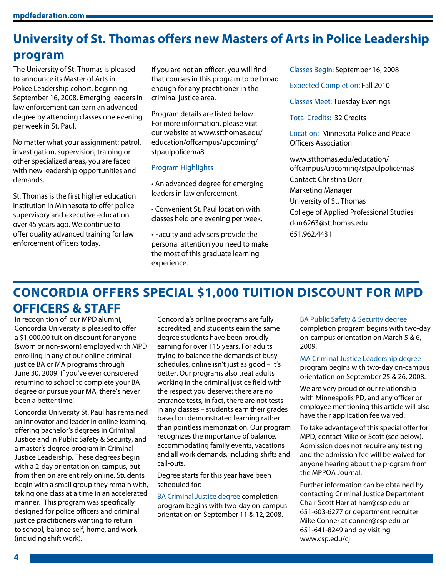# **University of St. Thomas offers new Masters of Arts in Police Leadership program**

The University of St. Thomas is pleased to announce its Master of Arts in Police Leadership cohort, beginning September 16, 2008. Emerging leaders in law enforcement can earn an advanced degree by attending classes one evening per week in St. Paul.

No matter what your assignment: patrol, investigation, supervision, training or other specialized areas, you are faced with new leadership opportunities and demands.

St. Thomas is the first higher education institution in Minnesota to offer police supervisory and executive education over 45 years ago. We continue to offer quality advanced training for law enforcement officers today.

If you are not an officer, you will find that courses in this program to be broad enough for any practitioner in the criminal justice area.

Program details are listed below. For more information, please visit our website at www.stthomas.edu/ education/offcampus/upcoming/ stpaulpolicema8

#### Program Highlights

- An advanced degree for emerging leaders in law enforcement.
- Convenient St. Paul location with classes held one evening per week.
- Faculty and advisers provide the personal attention you need to make the most of this graduate learning experience.

Classes Begin: September 16, 2008

Expected Completion: Fall 2010

Classes Meet: Tuesday Evenings

Total Credits: 32 Credits

Location: Minnesota Police and Peace Officers Association

www.stthomas.edu/education/ offcampus/upcoming/stpaulpolicema8 Contact: Christina Dorr Marketing Manager University of St. Thomas College of Applied Professional Studies dorr6263@stthomas.edu 651.962.4431

## **CONCORDIA OFFERS SPECIAL \$1,000 TUITION DISCOUNT FOR MPD OFFICERS & STAFF**

In recognition of our MPD alumni, Concordia University is pleased to offer a \$1,000.00 tuition discount for anyone (sworn or non-sworn) employed with MPD enrolling in any of our online criminal justice BA or MA programs through June 30, 2009. If you've ever considered returning to school to complete your BA degree or pursue your MA, there's never been a better time!

Concordia University St. Paul has remained an innovator and leader in online learning, offering bachelor's degrees in Criminal Justice and in Public Safety & Security, and a master's degree program in Criminal Justice Leadership. These degrees begin with a 2-day orientation on-campus, but from then on are entirely online. Students begin with a small group they remain with, taking one class at a time in an accelerated manner. This program was specifically designed for police officers and criminal justice practitioners wanting to return to school, balance self, home, and work (including shift work).

Concordia's online programs are fully accredited, and students earn the same degree students have been proudly earning for over 115 years. For adults trying to balance the demands of busy schedules, online isn't just as good – it's better. Our programs also treat adults working in the criminal justice field with the respect you deserve; there are no entrance tests, in fact, there are not tests in any classes – students earn their grades based on demonstrated learning rather than pointless memorization. Our program recognizes the importance of balance, accommodating family events, vacations and all work demands, including shifts and call-outs.

Degree starts for this year have been scheduled for:

BA Criminal Justice degree completion program begins with two-day on-campus orientation on September 11 & 12, 2008.

BA Public Safety & Security degree

completion program begins with two-day on-campus orientation on March 5 & 6, 2009.

MA Criminal Justice Leadership degree program begins with two-day on-campus orientation on September 25 & 26, 2008.

We are very proud of our relationship with Minneapolis PD, and any officer or employee mentioning this article will also have their application fee waived.

To take advantage of this special offer for MPD, contact Mike or Scott (see below). Admission does not require any testing and the admission fee will be waived for anyone hearing about the program from the MPPOA Journal.

Further information can be obtained by contacting Criminal Justice Department Chair Scott Harr at harr@csp.edu or 651-603-6277 or department recruiter Mike Conner at conner@csp.edu or 651-641-8249 and by visiting www.csp.edu/cj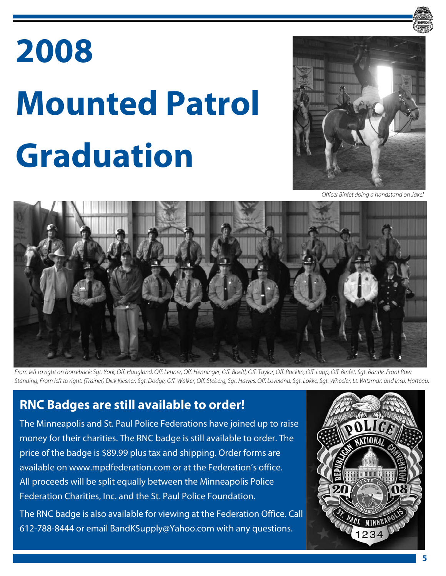# **2008 Mounted Patrol Graduation**



*Officer Binfet doing a handstand on Jake!*



*From left to right on horseback: Sgt. York, Off. Haugland, Off. Lehner, Off. Henninger, Off. Boeltl, Off. Taylor, Off. Rocklin, Off. Lapp, Off. Binfet, Sgt. Bantle. Front Row Standing, From left to right: (Trainer) Dick Kiesner, Sgt. Dodge, Off. Walker, Off. Steberg, Sgt. Hawes, Off. Loveland, Sgt. Lokke, Sgt. Wheeler, Lt. Witzman and Insp. Harteau.*

## **RNC Badges are still available to order!**

The Minneapolis and St. Paul Police Federations have joined up to raise money for their charities. The RNC badge is still available to order. The price of the badge is \$89.99 plus tax and shipping. Order forms are available on www.mpdfederation.com or at the Federation's office. All proceeds will be split equally between the Minneapolis Police Federation Charities, Inc. and the St. Paul Police Foundation.

The RNC badge is also available for viewing at the Federation Office. Call 612-788-8444 or email BandKSupply@Yahoo.com with any questions.

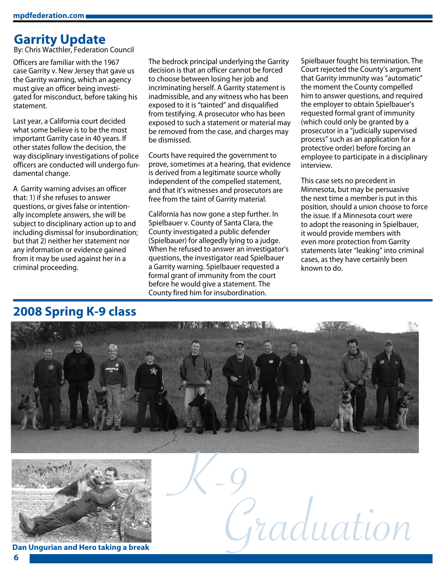## **Garrity Update**

By: Chris Wacthler, Federation Council

Officers are familiar with the 1967 case Garrity v. New Jersey that gave us the Garrity warning, which an agency must give an officer being investigated for misconduct, before taking his statement.

Last year, a California court decided what some believe is to be the most important Garrity case in 40 years. If other states follow the decision, the way disciplinary investigations of police officers are conducted will undergo fundamental change.

A Garrity warning advises an officer that: 1) if she refuses to answer questions, or gives false or intentionally incomplete answers, she will be subject to disciplinary action up to and including dismissal for insubordination; but that 2) neither her statement nor any information or evidence gained from it may be used against her in a criminal proceeding.

The bedrock principal underlying the Garrity decision is that an officer cannot be forced to choose between losing her job and incriminating herself. A Garrity statement is inadmissible, and any witness who has been exposed to it is "tainted" and disqualified from testifying. A prosecutor who has been exposed to such a statement or material may be removed from the case, and charges may be dismissed.

Courts have required the government to prove, sometimes at a hearing, that evidence is derived from a legitimate source wholly independent of the compelled statement, and that it's witnesses and prosecutors are free from the taint of Garrity material.

California has now gone a step further. In Spielbauer v. County of Santa Clara, the County investigated a public defender (Spielbauer) for allegedly lying to a judge. When he refused to answer an investigator's questions, the investigator read Spielbauer a Garrity warning. Spielbauer requested a formal grant of immunity from the court before he would give a statement. The County fired him for insubordination.

Spielbauer fought his termination. The Court rejected the County's argument that Garrity immunity was "automatic" the moment the County compelled him to answer questions, and required the employer to obtain Spielbauer's requested formal grant of immunity (which could only be granted by a prosecutor in a "judicially supervised process" such as an application for a protective order) before forcing an employee to participate in a disciplinary interview.

This case sets no precedent in Minnesota, but may be persuasive the next time a member is put in this position, should a union choose to force the issue. If a Minnesota court were to adopt the reasoning in Spielbauer, it would provide members with even more protection from Garrity statements later "leaking" into criminal cases, as they have certainly been known to do.





**Dan Ungurian and Hero taking a break**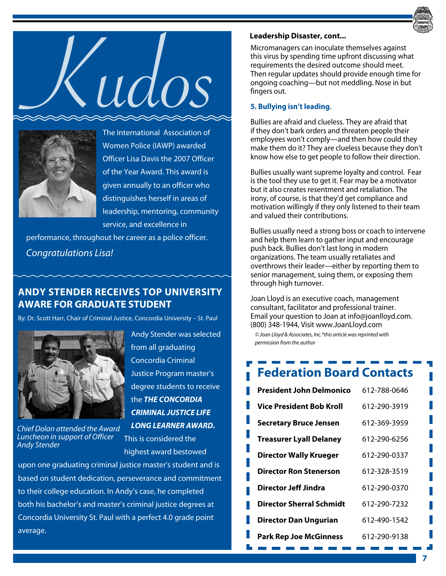





The International Association of Women Police (IAWP) awarded Officer Lisa Davis the 2007 Officer of the Year Award. This award is given annually to an officer who distinguishes herself in areas of leadership, mentoring, community service, and excellence in

performance, throughout her career as a police officer. *Congratulations Lisa!*

## **ANDY STENDER RECEIVES TOP UNIVERSITY AWARE FOR GRADUATE STUDENT**

By: Dr. Scott Harr, Chair of Criminal Justice, Concordia University – St. Paul



*Chief Dolan attended the Award Luncheon in support of Officer Andy Stender*

Andy Stender was selected from all graduating Concordia Criminal Justice Program master's degree students to receive the *THE CONCORDIA CRIMINAL JUSTICE LIFE LONG LEARNER AWARD.* This is considered the

highest award bestowed

upon one graduating criminal justice master's student and is based on student dedication, perseverance and commitment to their college education. In Andy's case, he completed both his bachelor's and master's criminal justice degrees at Concordia University St. Paul with a perfect 4.0 grade point average.

#### **Leadership Disaster, cont...**

Micromanagers can inoculate themselves against this virus by spending time upfront discussing what requirements the desired outcome should meet. Then regular updates should provide enough time for ongoing coaching—but not meddling. Nose in but fingers out.

#### **5. Bullying isn't leading**.

Bullies are afraid and clueless. They are afraid that if they don't bark orders and threaten people their employees won't comply—and then how could they make them do it? They are clueless because they don't know how else to get people to follow their direction.

Bullies usually want supreme loyalty and control. Fear is the tool they use to get it. Fear may be a motivator but it also creates resentment and retaliation. The irony, of course, is that they'd get compliance and motivation willingly if they only listened to their team and valued their contributions.

Bullies usually need a strong boss or coach to intervene and help them learn to gather input and encourage push back. Bullies don't last long in modern organizations. The team usually retaliates and overthrows their leader—either by reporting them to senior management, suing them, or exposing them through high turnover.

Joan Lloyd is an executive coach, management consultant, facilitator and professional trainer. Email your question to Joan at info@joanlloyd.com. (800) 348-1944, Visit www.JoanLloyd.com

*© Joan Lloyd & Associates, Inc.\*this article was reprinted with permission from the author*

# **Federation Board Contacts**

| 612-788-0646 |
|--------------|
| 612-290-3919 |
| 612-369-3959 |
| 612-290-6256 |
| 612-290-0337 |
| 612-328-3519 |
| 612-290-0370 |
| 612-290-7232 |
| 612-490-1542 |
| 612-290-9138 |
|              |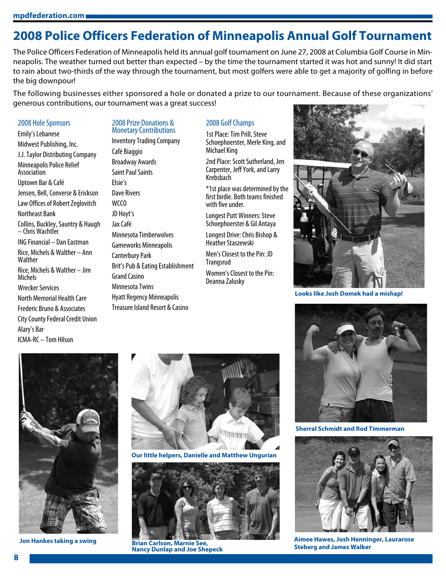**mpdfederation.com**

## **2008 Police Officers Federation of Minneapolis Annual Golf Tournament**

The Police Officers Federation of Minneapolis held its annual golf tournament on June 27, 2008 at Columbia Golf Course in Minneapolis. The weather turned out better than expected – by the time the tournament started it was hot and sunny! It did start to rain about two-thirds of the way through the tournament, but most golfers were able to get a majority of golfing in before the big downpour!

The following businesses either sponsored a hole or donated a prize to our tournament. Because of these organizations' generous contributions, our tournament was a great success!

#### 2008 Hole Sponsors

Emily's Lebanese Midwest Publishing, Inc. J.J. Taylor Distributing Company Minneapolis Police Relief Association Uptown Bar & Café Jensen, Bell, Converse & Erickson Law Offices of Robert Zeglovitch Northeast Bank Collins, Buckley, Sauntry & Haugh – Chris Wachtler ING Financial – Dan Eastman Rice, Michels & Walther – Ann **Walther** Rice, Michels & Walther – Jim **Michels** Wrecker Services North Memorial Health Care Frederic Bruno & Associates City County Federal Credit Union Alary's Bar ICMA-RC – Tom Hilson

## 2008 Golf Champs

2008 Prize Donations & Monetary Contributions Inventory Trading Company

Minnesota Timberwolves Gameworks Minneapolis

Brit's Pub & Eating Establishment

Hyatt Regency Minneapolis Treasure Island Resort & Casino

Canterbury Park

Grand Casino Minnesota Twins

Café Biaggio Broadway Awards Saint Paul Saints

Elsie's Dave Rivers W<sub>CCO</sub> JD Hoyt's Jax Café

1st Place: Tim Prill, Steve Schoephoerster, Merle King, and Michael King

2nd Place: Scott Sutherland, Jen Carpenter, Jeff York, and Larry Krebsbach

\*1st place was determined by the first birdie. Both teams finished with five under.

Longest Putt Winners: Steve Schoephoerster & Gil Antaya

Longest Drive: Chris Bishop & Heather Staszewski

Men's Closest to the Pin: JD Trangsrud

Women's Closest to the Pin: Deanna Zalusky



**Looks like Josh Domek had a mishap!**



**Sherral Schmidt and Rod Timmerman**



**Aimee Hawes, Josh Henninger, Laurarose** 



**Jon Hankes taking a swing**



**Our little helpers, Danielle and Matthew Ungurian**



**Steberg and James Walker Brian Carlson, Marnie See, Nancy Dunlap and Joe Shepeck**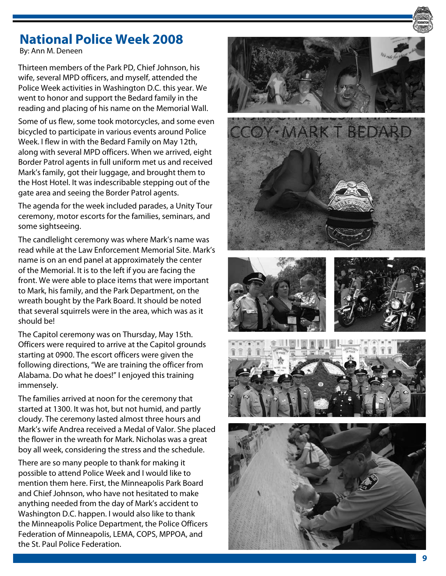## **National Police Week 2008**

By: Ann M. Deneen

Thirteen members of the Park PD, Chief Johnson, his wife, several MPD officers, and myself, attended the Police Week activities in Washington D.C. this year. We went to honor and support the Bedard family in the reading and placing of his name on the Memorial Wall.

Some of us flew, some took motorcycles, and some even bicycled to participate in various events around Police Week. I flew in with the Bedard Family on May 12th, along with several MPD officers. When we arrived, eight Border Patrol agents in full uniform met us and received Mark's family, got their luggage, and brought them to the Host Hotel. It was indescribable stepping out of the gate area and seeing the Border Patrol agents.

The agenda for the week included parades, a Unity Tour ceremony, motor escorts for the families, seminars, and some sightseeing.

The candlelight ceremony was where Mark's name was read while at the Law Enforcement Memorial Site. Mark's name is on an end panel at approximately the center of the Memorial. It is to the left if you are facing the front. We were able to place items that were important to Mark, his family, and the Park Department, on the wreath bought by the Park Board. It should be noted that several squirrels were in the area, which was as it should be!

The Capitol ceremony was on Thursday, May 15th. Officers were required to arrive at the Capitol grounds starting at 0900. The escort officers were given the following directions, "We are training the officer from Alabama. Do what he does!" I enjoyed this training immensely.

The families arrived at noon for the ceremony that started at 1300. It was hot, but not humid, and partly cloudy. The ceremony lasted almost three hours and Mark's wife Andrea received a Medal of Valor. She placed the flower in the wreath for Mark. Nicholas was a great boy all week, considering the stress and the schedule.

There are so many people to thank for making it possible to attend Police Week and I would like to mention them here. First, the Minneapolis Park Board and Chief Johnson, who have not hesitated to make anything needed from the day of Mark's accident to Washington D.C. happen. I would also like to thank the Minneapolis Police Department, the Police Officers Federation of Minneapolis, LEMA, COPS, MPPOA, and the St. Paul Police Federation.

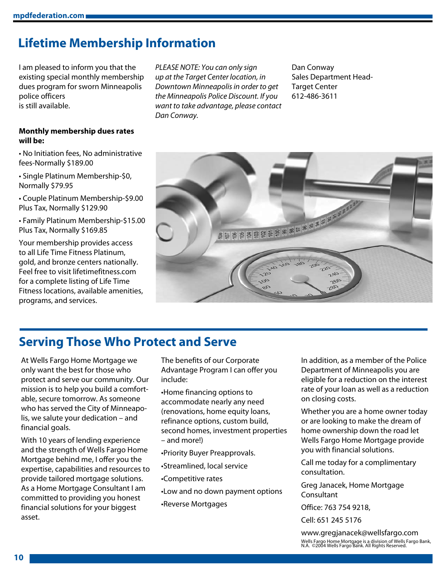## **Lifetime Membership Information**

I am pleased to inform you that the existing special monthly membership dues program for sworn Minneapolis police officers is still available.

*PLEASE NOTE: You can only sign up at the Target Center location, in Downtown Minneapolis in order to get the Minneapolis Police Discount. If you want to take advantage, please contact Dan Conway.* 

Dan Conway Sales Department Head-Target Center 612-486-3611

#### **Monthly membership dues rates will be:**

• No Initiation fees, No administrative fees-Normally \$189.00

• Single Platinum Membership-\$0, Normally \$79.95

• Couple Platinum Membership-\$9.00 Plus Tax, Normally \$129.90

• Family Platinum Membership-\$15.00 Plus Tax, Normally \$169.85

Your membership provides access to all Life Time Fitness Platinum, gold, and bronze centers nationally. Feel free to visit lifetimefitness.com for a complete listing of Life Time Fitness locations, available amenities, programs, and services.



## **Serving Those Who Protect and Serve**

At Wells Fargo Home Mortgage we only want the best for those who protect and serve our community. Our mission is to help you build a comfortable, secure tomorrow. As someone who has served the City of Minneapolis, we salute your dedication – and financial goals.

With 10 years of lending experience and the strength of Wells Fargo Home Mortgage behind me, I offer you the expertise, capabilities and resources to provide tailored mortgage solutions. As a Home Mortgage Consultant I am committed to providing you honest financial solutions for your biggest asset.

The benefits of our Corporate Advantage Program I can offer you include:

•Home financing options to accommodate nearly any need (renovations, home equity loans, refinance options, custom build, second homes, investment properties – and more!)

•Priority Buyer Preapprovals.

•Streamlined, local service

•Competitive rates

•Low and no down payment options

•Reverse Mortgages

In addition, as a member of the Police Department of Minneapolis you are eligible for a reduction on the interest rate of your loan as well as a reduction on closing costs.

Whether you are a home owner today or are looking to make the dream of home ownership down the road let Wells Fargo Home Mortgage provide you with financial solutions.

Call me today for a complimentary consultation.

Greg Janacek, Home Mortgage Consultant

Office: 763 754 9218,

Cell: 651 245 5176

www.gregjanacek@wellsfargo.com Wells Fargo Home Mortgage is a division of Wells Fargo Bank, N.A. ©2004 Wells Fargo Bank. All Rights Reserved.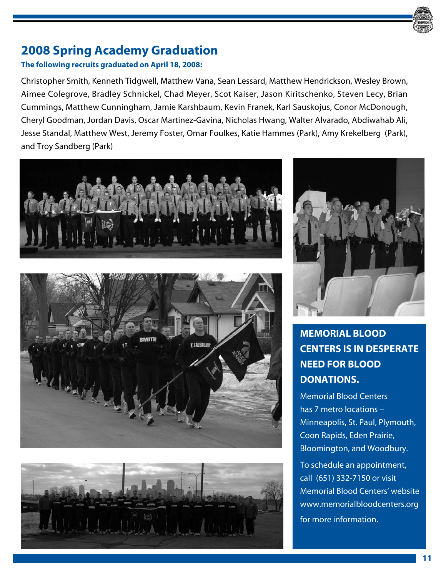## **2008 Spring Academy Graduation**

### **The following recruits graduated on April 18, 2008:**

Christopher Smith, Kenneth Tidgwell, Matthew Vana, Sean Lessard, Matthew Hendrickson, Wesley Brown, Aimee Colegrove, Bradley Schnickel, Chad Meyer, Scot Kaiser, Jason Kiritschenko, Steven Lecy, Brian Cummings, Matthew Cunningham, Jamie Karshbaum, Kevin Franek, Karl Sauskojus, Conor McDonough, Cheryl Goodman, Jordan Davis, Oscar Martinez-Gavina, Nicholas Hwang, Walter Alvarado, Abdiwahab Ali, Jesse Standal, Matthew West, Jeremy Foster, Omar Foulkes, Katie Hammes (Park), Amy Krekelberg (Park), and Troy Sandberg (Park)









## **Memorial Blood Centers is in desperate need for blood DONATIONS.**

Memorial Blood Centers has 7 metro locations – Minneapolis, St. Paul, Plymouth, Coon Rapids, Eden Prairie, Bloomington, and Woodbury.

To schedule an appointment, call (651) 332-7150 or visit Memorial Blood Centers' website www.memorialbloodcenters.org for more information.